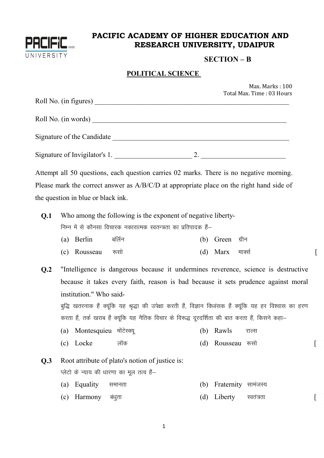

# PACIFIC ACADEMY OF HIGHER EDUCATION AND RESEARCH UNIVERSITY, UDAIPUR

### $SECTION - B$

 $\lceil$ 

 $\lceil$ 

 $\left[ \right]$ 

#### **POLITICAL SCIENCE**

|     |                                                                   |  |     |             | Max. Marks: 100<br>Total Max. Time: 03 Hours                                             |
|-----|-------------------------------------------------------------------|--|-----|-------------|------------------------------------------------------------------------------------------|
|     | Roll No. (in figures)                                             |  |     |             |                                                                                          |
|     | Roll No. (in words)                                               |  |     |             |                                                                                          |
|     |                                                                   |  |     |             |                                                                                          |
|     |                                                                   |  |     |             | Signature of Invigilator's 1. 2.                                                         |
|     |                                                                   |  |     |             | Attempt all 50 questions, each question carries 02 marks. There is no negative morning.  |
|     |                                                                   |  |     |             | Please mark the correct answer as A/B/C/D at appropriate place on the right hand side of |
|     | the question in blue or black ink.                                |  |     |             |                                                                                          |
| Q.1 | Who among the following is the exponent of negative liberty-      |  |     |             |                                                                                          |
|     | निम्न में से कौनसा विचारक नकारात्मक स्वतन्त्रता का प्रतिपादक हैं– |  |     |             |                                                                                          |
|     | (a) Berlin    बर्लिन                                              |  | (b) | Green ग्रीन |                                                                                          |

- (c) Rousseau (d) Marx मार्क्स रूसो
- $Q.2$ "Intelligence is dangerous because it undermines reverence, science is destructive because it takes every faith, reason is bad because it sets prudence against moral institution." Who said-

बुद्धि खतरनाक हैं क्यूंकि यह श्रृद्धा की उपेक्षा करती हैं, विज्ञान विध्वंसक हैं क्यूंकि यह हर विश्वास का हरण करता हैं, तर्क खराब हैं क्यूंकि यह नैतिक विचार के विरूद्ध दूरदर्शिता की बात करता हैं, किसने कहा-

- (a) Montesquieu मोंटेस्क्यू (b) Rawls राल्स
- (c) Locke लॉक (d) Rousseau रूसो

Root attribute of plato's notion of justice is:  $O.3$ 

प्लेटो के न्याय की धारणा का मूल तत्व हैं-

- (a) Equality (b) Fraternity सामंजस्य समानता
- (d) Liberty (c) Harmony बंधुता स्वतंत्रता

 $\mathbf{1}$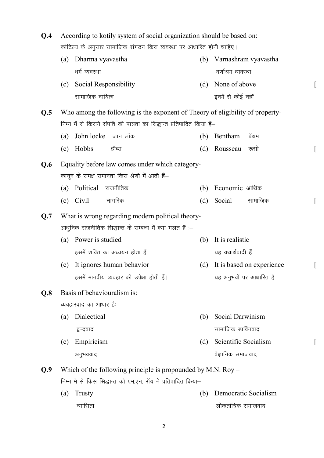| Q.4 | According to kotily system of social organization should be based on:<br>कोटिल्य के अनुसार सामाजिक संगठन किस व्यवस्था पर आधारित होनी चाहिए। |                             |                                                                                                              |     |                      |                           |  |  |
|-----|---------------------------------------------------------------------------------------------------------------------------------------------|-----------------------------|--------------------------------------------------------------------------------------------------------------|-----|----------------------|---------------------------|--|--|
|     | (a)                                                                                                                                         | Dharma vyavastha            |                                                                                                              | (b) |                      | Varnashram vyavastha      |  |  |
|     |                                                                                                                                             | धर्म व्यवस्था               |                                                                                                              |     |                      | वर्णाश्रम व्यवस्था        |  |  |
|     | (c)                                                                                                                                         | Social Responsibility       |                                                                                                              | (d) | None of above        |                           |  |  |
|     |                                                                                                                                             | सामाजिक दायित्व             |                                                                                                              |     | इनमें से कोई नहीं    |                           |  |  |
| Q.5 |                                                                                                                                             |                             | Who among the following is the exponent of Theory of eligibility of property-                                |     |                      |                           |  |  |
|     |                                                                                                                                             |                             | निम्न में से किसने संपति की पात्रता का सिद्धान्त प्रतिपादित किया हैं–                                        |     |                      |                           |  |  |
|     | (a)                                                                                                                                         | John locke                  | जान लॉक                                                                                                      | (b) | Bentham              | बेंथम                     |  |  |
|     | (c)                                                                                                                                         | Hobbs                       | हॉब्स                                                                                                        | (d) | Rousseau             | रूसो                      |  |  |
| Q.6 |                                                                                                                                             |                             | Equality before law comes under which category-                                                              |     |                      |                           |  |  |
|     |                                                                                                                                             |                             | कानून के समक्ष समानता किस श्रेणी में आती हैं–                                                                |     |                      |                           |  |  |
|     | (a)                                                                                                                                         | Political                   | राजनीतिक                                                                                                     | (b) | Economic आर्थिक      |                           |  |  |
|     | (c)                                                                                                                                         | Civil                       | नागरिक                                                                                                       | (d) | Social               | सामाजिक                   |  |  |
| Q.7 |                                                                                                                                             |                             | What is wrong regarding modern political theory-<br>आधुनिक राजनीतिक सिद्धान्त के सम्बन्ध में क्या गलत हैं :– |     |                      |                           |  |  |
|     | (a)                                                                                                                                         | Power is studied            |                                                                                                              | (b) | It is realistic      |                           |  |  |
|     |                                                                                                                                             |                             | इसमें शक्ति का अध्ययन होता हैं                                                                               |     | यह यथार्थवादी हैं    |                           |  |  |
|     | (c)                                                                                                                                         |                             | It ignores human behavior                                                                                    | (d) |                      | It is based on experience |  |  |
|     |                                                                                                                                             |                             | इसमें मानवीय व्यवहार की उपेक्षा होती हैं।                                                                    |     |                      | यह अनुभवों पर आधारित हैं  |  |  |
| Q.8 |                                                                                                                                             | Basis of behaviouralism is: |                                                                                                              |     |                      |                           |  |  |
|     |                                                                                                                                             | व्यवहारवाद का आधार है:      |                                                                                                              |     |                      |                           |  |  |
|     | (a)                                                                                                                                         | Dialectical                 |                                                                                                              | (b) | Social Darwinism     |                           |  |  |
|     |                                                                                                                                             | द्वन्दवाद                   |                                                                                                              |     | सामाजिक डार्विनवाद   |                           |  |  |
|     | (c)                                                                                                                                         | Empiricism                  |                                                                                                              | (d) | Scientific Socialism |                           |  |  |
|     |                                                                                                                                             | अनुभववाद                    |                                                                                                              |     | वैज्ञानिक समाजवाद    |                           |  |  |
| Q.9 |                                                                                                                                             |                             | Which of the following principle is propounded by M.N. $Roy -$                                               |     |                      |                           |  |  |
|     |                                                                                                                                             |                             | निम्न मे से किस सिद्धान्त को एम.एन. रॉय ने प्रतिपादित किया–                                                  |     |                      |                           |  |  |
|     | (a)                                                                                                                                         | Trusty                      |                                                                                                              | (b) |                      | Democratic Socialism      |  |  |
|     |                                                                                                                                             | न्यासिता                    |                                                                                                              |     | लोकतांत्रिक समाजवाद  |                           |  |  |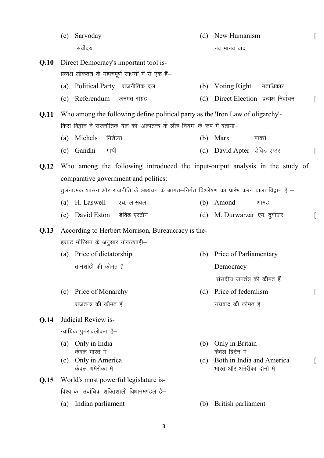|      | (c) | Sarvoday                                                                                      | (d) | New Humanism                                                               |  |
|------|-----|-----------------------------------------------------------------------------------------------|-----|----------------------------------------------------------------------------|--|
|      |     | सर्वोदय                                                                                       |     | नव मानव वाद                                                                |  |
| Q.10 |     | Direct Democracy's important tool is-                                                         |     |                                                                            |  |
|      |     | प्रत्यक्ष लोकतंत्र के महत्वपूर्ण साधनों में से एक हैं–                                        |     |                                                                            |  |
|      |     | (a) Political Party राजनीतिक दल                                                               |     | (b) Voting Right<br>मताधिकार                                               |  |
|      |     | (c) Referendum जनमत संग्रह                                                                    | (d) | Direct Election प्रत्यक्ष निर्वाचन                                         |  |
| Q.11 |     | Who among the following define political party as the 'Iron Law of oligarchy'-                |     |                                                                            |  |
|      |     | किस विद्वान ने राजनीतिक दल को 'अल्पतन्त्र के लौह नियम' के रूप में बताया–                      |     |                                                                            |  |
|      |     | (a) Michels<br>मिशेल्स                                                                        | (b) | Marx<br>माक्से                                                             |  |
|      |     | (c) Gandhi<br>गांधी                                                                           | (d) | David Apter डेविड एप्टर                                                    |  |
| Q.12 |     | Who among the following introduced the input-output analysis in the study of                  |     |                                                                            |  |
|      |     | comparative government and politics:                                                          |     |                                                                            |  |
|      |     | तुलनात्मक शासन और राजनीति के अध्ययन के आगत-निर्गत विश्लेषण का प्रारंभ करने वाला विद्वान हैं – |     |                                                                            |  |
|      |     | (a) H. Laswell<br>एच. लासवेल                                                                  |     | (b) Amond<br>आमंड                                                          |  |
|      |     | (c) David Eston डेविड एस्टोन                                                                  |     | (d) M. Durwarzar एम. दुर्वाजर                                              |  |
| Q.13 |     | According to Herbert Morrison, Bureaucracy is the-                                            |     |                                                                            |  |
|      |     | हरबर्ट मौरिसन के अनुसार नोकरशाही–                                                             |     |                                                                            |  |
|      |     | (a) Price of dictatorship                                                                     | (b) | Price of Parliamentary                                                     |  |
|      |     | तानशाही की कीमत हैं                                                                           |     | Democracy                                                                  |  |
|      |     |                                                                                               |     | संसदीय जनतंत्र की कीमत हैं                                                 |  |
|      | (c) | Price of Monarchy                                                                             | (d) | Price of federalism                                                        |  |
|      |     | राजतन्त्र की कीमत हैं                                                                         |     | संघवाद की कीमत हैं                                                         |  |
| Q.14 |     | Judicial Review is-                                                                           |     |                                                                            |  |
|      |     | न्यायिक पुनरावलोकन हैं–                                                                       |     |                                                                            |  |
|      | (a) | Only in India                                                                                 | (b) | Only in Britain                                                            |  |
|      | (c) | केवल भारत में<br>Only in America<br>केवल अमेरीका में                                          | (d) | केवल ब्रिटेन में<br>Both in India and America<br>भारत और अमेरीका दोनों में |  |
| Q.15 |     | World's most powerful legislature is-                                                         |     |                                                                            |  |
|      |     | विश्व का सर्वाधिक शक्तिशाली विधानमण्डल हैं–                                                   |     |                                                                            |  |
|      | (a) | Indian parliament                                                                             | (b) | British parliament                                                         |  |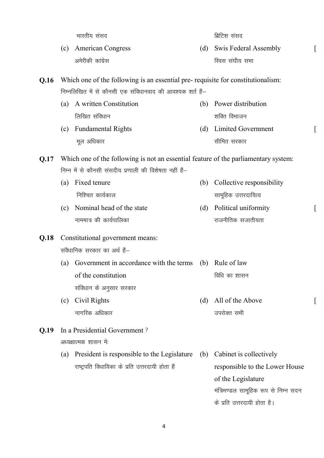|      |                                                                                     | भारतीय संसद                                                                     |     | ब्रिटिश संसद                         |  |  |  |  |
|------|-------------------------------------------------------------------------------------|---------------------------------------------------------------------------------|-----|--------------------------------------|--|--|--|--|
|      | (c)                                                                                 | <b>American Congress</b>                                                        | (d) | <b>Swis Federal Assembly</b>         |  |  |  |  |
|      |                                                                                     | अमेरीकी कांग्रेस                                                                |     | स्विस संघीय सभा                      |  |  |  |  |
| Q.16 |                                                                                     | Which one of the following is an essential pre-requisite for constitutionalism: |     |                                      |  |  |  |  |
|      |                                                                                     | निम्नलिखित में से कौनसी एक संविधानवाद की आवश्यक शर्त हैं–                       |     |                                      |  |  |  |  |
|      | (a)                                                                                 | A written Constitution                                                          | (b) | Power distribution                   |  |  |  |  |
|      |                                                                                     | लिखित संविधान                                                                   |     | शक्ति विभाजन                         |  |  |  |  |
|      | (c)                                                                                 | <b>Fundamental Rights</b>                                                       | (d) | Limited Government                   |  |  |  |  |
|      |                                                                                     | मूल अधिकार                                                                      |     | सीमित सरकार                          |  |  |  |  |
| Q.17 | Which one of the following is not an essential feature of the parliamentary system: |                                                                                 |     |                                      |  |  |  |  |
|      |                                                                                     | निम्न में से कौनसी संसदीय प्रणाली की विशेषता नहीं हैं–                          |     |                                      |  |  |  |  |
|      | (a)                                                                                 | Fixed tenure                                                                    | (b) | Collective responsibility            |  |  |  |  |
|      |                                                                                     | निश्चित कार्यकाल                                                                |     | सामूहिक उत्तरदायित्व                 |  |  |  |  |
|      | (c)                                                                                 | Nominal head of the state                                                       | (d) | Political uniformity                 |  |  |  |  |
|      |                                                                                     | नाममात्र की कार्यपालिका                                                         |     | राजनीतिक सजातीयता                    |  |  |  |  |
| Q.18 |                                                                                     | Constitutional government means:                                                |     |                                      |  |  |  |  |
|      |                                                                                     | संवैधानिक सरकार का अर्थ हैं–                                                    |     |                                      |  |  |  |  |
|      | (a)                                                                                 | Government in accordance with the terms (b)                                     |     | Rule of law                          |  |  |  |  |
|      |                                                                                     | of the constitution                                                             |     | विधि का शासन                         |  |  |  |  |
|      |                                                                                     | संविधान के अनुसार सरकार                                                         |     |                                      |  |  |  |  |
|      | (c)                                                                                 | Civil Rights                                                                    | (d) | All of the Above                     |  |  |  |  |
|      |                                                                                     | नागरिक अधिकार                                                                   |     | उपरोक्त सभी                          |  |  |  |  |
| Q.19 |                                                                                     | In a Presidential Government?                                                   |     |                                      |  |  |  |  |
|      |                                                                                     | अध्यक्षात्मक शासन में:                                                          |     |                                      |  |  |  |  |
|      | (a)                                                                                 | President is responsible to the Legislature                                     | (b) | Cabinet is collectively              |  |  |  |  |
|      |                                                                                     | राष्ट्रपति विधायिका के प्रति उत्तरदायी होता हैं                                 |     | responsible to the Lower House       |  |  |  |  |
|      |                                                                                     |                                                                                 |     | of the Legislature                   |  |  |  |  |
|      |                                                                                     |                                                                                 |     | मंत्रिमण्डल सामूहिक रूप से निम्न सदन |  |  |  |  |
|      |                                                                                     |                                                                                 |     | के प्रति उत्तरदायी होता है।          |  |  |  |  |

 $\overline{\mathfrak{l}}$ 

 $[$ 

 $[$ 

 $\overline{[}$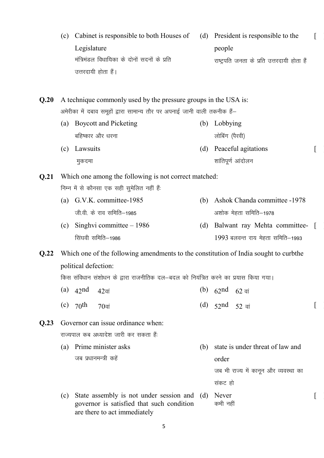|      | (c) | Cabinet is responsible to both Houses of<br>Legislature<br>मंत्रिमंडल विधायिका के दोनों सदनों के प्रति<br>उत्तरदायी होता हैं। |     | (d) President is responsible to the<br>people<br>राष्ट्रपति जनता के प्रति उत्तरदायी होता हैं |  |
|------|-----|-------------------------------------------------------------------------------------------------------------------------------|-----|----------------------------------------------------------------------------------------------|--|
| Q.20 |     | A technique commonly used by the pressure groups in the USA is:                                                               |     |                                                                                              |  |
|      |     | अमेरीका में दबाव समूहों द्वारा सामान्य तौर पर अपनाई जानी वाली तकनीक हैं-                                                      |     |                                                                                              |  |
|      | (a) | <b>Boycott and Picketing</b>                                                                                                  | (b) | Lobbying                                                                                     |  |
|      |     | बहिष्कार और धरना                                                                                                              |     | लोबिंग (पैरवी)                                                                               |  |
|      | (c) | Lawsuits                                                                                                                      | (d) | Peaceful agitations                                                                          |  |
|      |     | मुकदमा                                                                                                                        |     | शांतिपूर्ण आंदोलन                                                                            |  |
| Q.21 |     | Which one among the following is not correct matched:                                                                         |     |                                                                                              |  |
|      |     | निम्न में से कौनसा एक सही सुमेलित नहीं हैं:                                                                                   |     |                                                                                              |  |
|      | (a) | G.V.K. committee-1985                                                                                                         | (b) | Ashok Chanda committee -1978                                                                 |  |
|      |     | जी.वी. के राव समिति–1985                                                                                                      |     | अशोक मेहता समिति–1978                                                                        |  |
|      | (c) | Singhvi committee $-1986$                                                                                                     | (d) | Balwant ray Mehta committee-                                                                 |  |
|      |     | सिंघवी समिति–1986                                                                                                             |     | 1993 बलवन्त राय मेहता समिति–1993                                                             |  |
| Q.22 |     | Which one of the following amendments to the constitution of India sought to curbthe                                          |     |                                                                                              |  |
|      |     | political defection:                                                                                                          |     |                                                                                              |  |
|      |     | किस संविधान संशोधन के द्वारा राजनीतिक दल–बदल को नियंत्रित करने का प्रयास किया गया।                                            |     |                                                                                              |  |
|      |     | (a) $42nd$<br>$42$ वां                                                                                                        |     | (b) $62nd$<br>$62$ वां                                                                       |  |
|      |     |                                                                                                                               |     |                                                                                              |  |
|      |     | (c) $70$ <sup>th</sup><br>$70$ वां                                                                                            |     | (d) $52$ nd $52$ वां                                                                         |  |
| Q.23 |     | Governor can issue ordinance when:                                                                                            |     |                                                                                              |  |
|      |     | राज्यपाल कब अध्यादेश जारी कर सकता हैं:                                                                                        |     |                                                                                              |  |
|      | (a) | Prime minister asks                                                                                                           | (b) | state is under threat of law and                                                             |  |
|      |     | जब प्रधानमन्त्री कहें                                                                                                         |     | order                                                                                        |  |
|      |     |                                                                                                                               |     | जब भी राज्य में कानून और व्यवस्था का                                                         |  |
|      |     |                                                                                                                               |     | संकट हो                                                                                      |  |
|      | (c) | State assembly is not under session and<br>governor is satisfied that such condition<br>are there to act immediately          | (d) | Never<br>कभी नहीं                                                                            |  |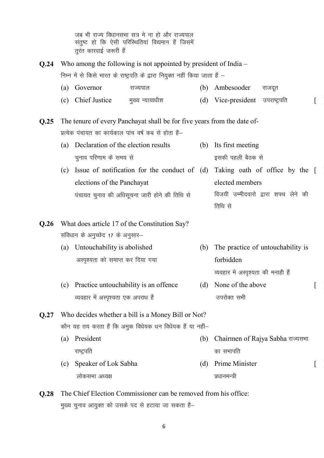जब भी राज्य विधानसभा सत्र मे ना हो और राज्यपाल संतुष्ट हो कि ऐसी परिस्थितियां विद्यमान हैं जिसमें तूरंत कारवाई जरूरी हैं

**Q.24** Who among the following is not appointed by president of India – निम्न में से किसे भारत के राष्ट्रपति के द्वारा नियुक्त नहीं किया जाता हैं – (a) Governor – राज्यपाल – (b) Ambesooder राजदूत (c) Chief Justice सृख्य न्यायाधीश (d) Vice-president उपराष्ट्रपति **Q.25** The tenure of every Panchayat shall be for five years from the date of-प्रत्येक पंचायत का कार्यकाल पांच वर्ष कब से होता हैं– (a) Declaration of the election results चुनाव परिणाम के समय से (b) Its first meeting इसकी पहली बैठक से  $(c)$  Issue of notification for the conduct of  $(d)$  Taking oath of office by the  $[$ elections of the Panchayat पंचायत चुनाव की अधिसूचना जारी होने की तिथि से elected members विजयी उम्मीदवारो द्वारा शपथ लेने की तिथि से **Q.26** What does article 17 of the Constitution Say? संविधान के अनुच्छेद 17 के अनुसार– (a) Untouchability is abolished अस्पृश्यता को समाप्त कर दिया गया (b) The practice of untouchability is forbidden व्यवहार मे अस्पृश्यता की मनाही हैं (c) Practice untouchability is an offence व्यवहार में अस्पृश्यता एक अपराध हैं (d) None of the above उपरोक्त सभी  $\lceil$ **Q.27** Who decides whether a bill is a Money Bill or Not? कौन यह तय करता हैं कि अमुक विधेयक धन विधेयक हैं या नहीं-(a) President राष्ट्रपति (b) Chairmen of Rajya Sabha राज्यसभा का सभापति (c) Speaker of Lok Sabha लोकसभा अध्यक्ष (d) Prime Minister प्रधानमन्त्री  $\lceil$ **Q.28** The Chief Election Commissioner can be removed from his office:

मुख्य चुनाव आयुक्त को उसके पद से हटाया जा सकता हैं-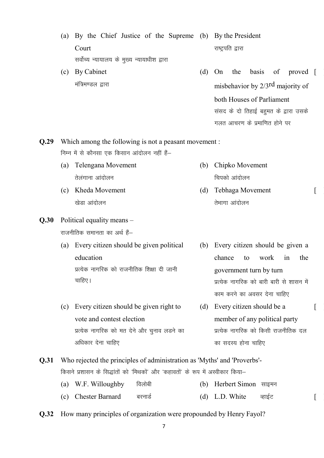(a) By the Chief Justice of the Supreme (b) By the President Court सर्वोच्य न्यायालय के मुख्य न्यायाधीश द्वारा राष्ट्रपति द्वारा

(c) By Cabinet मंत्रिमण्डल द्वारा (d) On the basis of misbehavior by 2/3rd majority of both Houses of Parliament संसद के दो तिहाई बहुमत के द्वारा उसके proved [

गलत आचरण के प्रमाणित होने पर

(b) Chipko Movement

चिपको आंदोलन

तेभागा आंदोलन

(d) Tebhaga Movement

**Q.29** Which among the following is not a peasant movement : निम्न में से कौनसा एक किसान आंदोलन नहीं हैं–

- (a) Telengana Movement तेलंगाना आंदोलन
- (c) Kheda Movement खेडा आंदोलन
- **Q.30** Political equality means –

राजनीतिक समानता का अर्थ हैं-

- (a) Every citizen should be given political education प्रत्येक नागरिक को राजनीतिक शिक्षा दी जानी चाहिए।
- (c) Every citizen should be given right to vote and contest election प्रत्येक नागरिक को मत देने और चनाव लडने का अधिकार देना चाहिए
- (b) Every citizen should be given a chance to work in the government turn by turn प्रत्येक नागरिक को बारी बारी से शासन में काम करने का अवसर देना चाहिए

 $\lceil$ 

 $\lceil$ 

- (d) Every citizen should be a member of any political party प्रत्येक नागरिक को किसी राजनीतिक दल का सदस्य होना चाहिए
- **Q.31** Who rejected the principles of administration as 'Myths' and 'Proverbs'- किसने प्रशासन के सिद्धांतों को 'मिथकों' और 'कहावतों' के रूप में अस्वीकार किया–
	- (a) W.F. Willoughby विलोबी (b) Herbert Simon साइमन
	- (c) Chester Barnard बरनार्ड (d) L.D. White व्हाईट |
- **Q.32** How many principles of organization were propounded by Henry Fayol?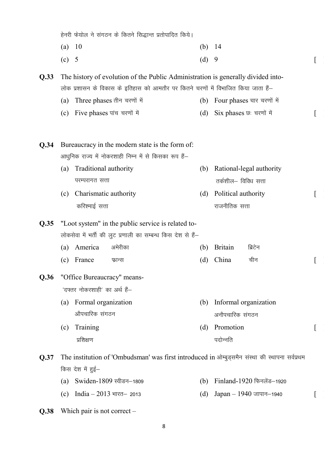|      | हेनरी फेयोल ने संगठन के कितने सिद्धान्त प्रतोपादित किये। |                               |                                                                                                                                                                       |     |                      |                                                                                                |  |
|------|----------------------------------------------------------|-------------------------------|-----------------------------------------------------------------------------------------------------------------------------------------------------------------------|-----|----------------------|------------------------------------------------------------------------------------------------|--|
|      | (a)                                                      | 10                            |                                                                                                                                                                       | (b) | -14                  |                                                                                                |  |
|      | (c)                                                      | 5                             |                                                                                                                                                                       | (d) | 9                    |                                                                                                |  |
| Q.33 |                                                          |                               | The history of evolution of the Public Administration is generally divided into-<br>लोक प्रशासन के विकास के इतिहास को आमतौर पर कितने चरणों में विभाजित किया जाता हैं— |     |                      |                                                                                                |  |
|      | (a)                                                      |                               | Three phases तीन चरणों में                                                                                                                                            | (b) |                      | Four phases चार चरणों में                                                                      |  |
|      | (c)                                                      | Five phases पांच चरणों में    |                                                                                                                                                                       | (d) |                      | Six phases छः चरणों में                                                                        |  |
| Q.34 |                                                          |                               | Bureaucracy in the modern state is the form of:                                                                                                                       |     |                      |                                                                                                |  |
|      |                                                          |                               | आधुनिक राज्य में नोकरशाही निम्न में से किसका रूप हैं—                                                                                                                 |     |                      |                                                                                                |  |
|      | (a)                                                      | Traditional authority         |                                                                                                                                                                       | (b) |                      | Rational-legal authority                                                                       |  |
|      |                                                          | परम्परागत सत्ता               |                                                                                                                                                                       |     | तर्कशील– विविध सत्ता |                                                                                                |  |
|      | (c)                                                      | Charismatic authority         |                                                                                                                                                                       | (d) | Political authority  |                                                                                                |  |
|      |                                                          | करिश्माई सत्ता                |                                                                                                                                                                       |     | राजनीतिक सत्ता       |                                                                                                |  |
| Q.35 |                                                          |                               | "Loot system" in the public service is related to-                                                                                                                    |     |                      |                                                                                                |  |
|      |                                                          |                               | लोकसेवा में भर्ती की लुट प्रणाली का सम्बन्ध किस देश से हैं–                                                                                                           |     |                      |                                                                                                |  |
|      | (a)                                                      | America                       | अमेरीका                                                                                                                                                               | (b) | <b>Britain</b>       | ब्रिटेन                                                                                        |  |
|      | (c)                                                      | France                        | फ्रान्स                                                                                                                                                               | (d) | China                | चीन                                                                                            |  |
| Q.36 |                                                          |                               | "Office Bureaucracy" means-                                                                                                                                           |     |                      |                                                                                                |  |
|      |                                                          | 'दफ्तर नोकरशाही' का अर्थ हैं— |                                                                                                                                                                       |     |                      |                                                                                                |  |
|      | (a)                                                      | Formal organization           |                                                                                                                                                                       | (b) |                      | Informal organization                                                                          |  |
|      |                                                          | औपचारिक संगठन                 |                                                                                                                                                                       |     | अनौपचारिक संगठन      |                                                                                                |  |
|      | (c)                                                      | Training                      |                                                                                                                                                                       | (d) | Promotion            |                                                                                                |  |
|      |                                                          | प्रशिक्षण                     |                                                                                                                                                                       |     | पदोन्नति             |                                                                                                |  |
| Q.37 |                                                          |                               |                                                                                                                                                                       |     |                      | The institution of 'Ombudsman' was first introduced in ओम्बुड्समैन संस्था की स्थापना सर्वप्रथम |  |
|      |                                                          | किस देश में हुई—              |                                                                                                                                                                       |     |                      |                                                                                                |  |
|      | (a)                                                      |                               | Swiden-1809 स्वीडन-1809                                                                                                                                               | (b) |                      | Finland-1920 फिनलेंड-1920                                                                      |  |
|      | (c)                                                      | India $-2013$ भारत- 2013      |                                                                                                                                                                       | (d) |                      | $Japan - 1940$ जापान-1940                                                                      |  |

**Q.38** Which pair is not correct –

8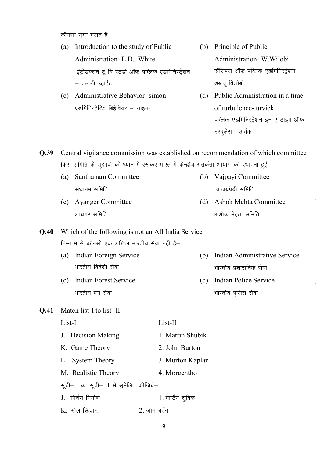कौनसा युग्म गलत हैं-

- (a) Introduction to the study of Public Administration- L.D.. White इंट्रोडक्शन टू दि स्टडी ऑफ पब्लिक एडमिनिस्ट्रेशन – एल.डी. व्हाईट
- (c) Administrative Behavior- simon एडमिनिस्ट्रेटिव बिहेवियर - साइमन
- (b) Principle of Public Administration- W.Wilobi प्रिंसिपल ऑफ पब्लिक एडमिनिस्ट्रेशन– डब्ल्यू विलोबी
- (d) Public Administration in a time of turbulence- urvick पब्लिक एडमिनिस्ट्रेशन इन ए टाइम ऑफ टरबुलेंस– उर्विक

 $\lceil$ 

 $\lceil$ 

 $\lceil$ 

**Q.39** Central vigilance commission was established on recommendation of which committee किस समिति के सुझावों को ध्यान में रखकर भारत में केन्द्रीय सतर्कता आयोग की स्थापना हुई–

- (a) Santhanam Committee संथानम समिति (b) Vajpayi Committee वाजयपेयी समिति
- (c) Ayanger Committee आयंगर समिति (d) Ashok Mehta Committee अशोक मेहता समिति

## **Q.40** Which of the following is not an All India Service निम्न में से कौनसी एक अखिल भारतीय सेवा नहीं हैं-

- (a) Indian Foreign Service भारतीय विदेशी सेवा (b) Indian Administrative Service भारतीय प्रशासनिक सेवा
- (c) Indian Forest Service भारतीय वन सेवा (d) Indian Police Service भारतीय पुलिस सेवा

#### **Q.41** Match list-I to list- II

| List-I                                 | List-II          |
|----------------------------------------|------------------|
| J. Decision Making                     | 1. Martin Shubik |
| K. Game Theory                         | 2. John Burton   |
| L. System Theory                       | 3. Murton Kaplan |
| M. Realistic Theory                    | 4. Morgentho     |
| सूची- I को सूची- II से सूमेलित कीजिये- |                  |
| J. निर्णय निर्माण                      | 1. मार्टिन शूबिक |
| $K$ . खेल सिद्धान्त                    | 2. जोन बर्टन     |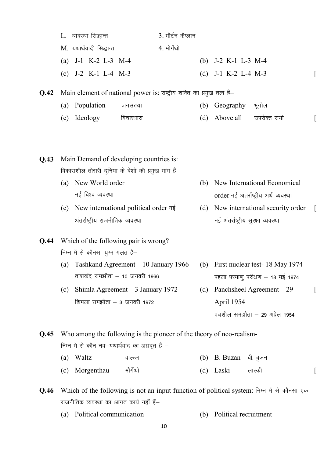|      |     | L. व्यवस्था सिद्धान्त                    | 3. मौर्टन कैप्लान                                                                                                     |     |                                    |                                       |  |
|------|-----|------------------------------------------|-----------------------------------------------------------------------------------------------------------------------|-----|------------------------------------|---------------------------------------|--|
|      |     | M. यथार्थवादी सिद्धान्त                  | 4. मोर्गेथो                                                                                                           |     |                                    |                                       |  |
|      |     | (a) $J-1$ K-2 L-3 M-4                    |                                                                                                                       |     | (b) $J-2 K-1 L-3 M-4$              |                                       |  |
|      |     | (c) $J-2 K-1 L-4 M-3$                    |                                                                                                                       | (d) | J-1 K-2 L-4 M-3                    |                                       |  |
| Q.42 |     |                                          | Main element of national power is: राष्ट्रीय शक्ति का प्रमुख तत्व हैं-                                                |     |                                    |                                       |  |
|      |     | (a) Population                           | जनसंख्या                                                                                                              | (b) | Geography                          | भूगोल                                 |  |
|      | (c) | Ideology                                 | विचारधारा                                                                                                             | (d) | Above all                          | उपरोक्त सभी                           |  |
|      |     |                                          |                                                                                                                       |     |                                    |                                       |  |
|      |     |                                          |                                                                                                                       |     |                                    |                                       |  |
| Q.43 |     |                                          | Main Demand of developing countries is:                                                                               |     |                                    |                                       |  |
|      |     |                                          | विकासशील तीसरी दुनिया के देशो की प्रमुख मांग हैं –                                                                    |     |                                    |                                       |  |
|      | (a) | New World order                          |                                                                                                                       | (b) |                                    | New International Economical          |  |
|      |     | नई विश्व व्यवस्था                        |                                                                                                                       |     |                                    | order नई अंतर्राष्ट्रीय अर्थ व्यवस्था |  |
|      | (c) |                                          | New international political order नई                                                                                  | (d) |                                    | New international security order      |  |
|      |     | अंतर्राष्ट्रीय राजनीतिक व्यवस्था         |                                                                                                                       |     | नई अंतर्राष्ट्रीय सुरक्षा व्यवस्था |                                       |  |
| Q.44 |     |                                          | Which of the following pair is wrong?                                                                                 |     |                                    |                                       |  |
|      |     | निम्न में से कौनसा युग्म गलत हैं–        |                                                                                                                       |     |                                    |                                       |  |
|      | (a) |                                          | Tashkand Agreement - 10 January 1966                                                                                  | (b) |                                    | First nuclear test-18 May 1974        |  |
|      |     | ताशकंद समझौता - 10 जनवरी 1966            |                                                                                                                       |     |                                    | पहला परमाणु परीक्षण - 18 मई 1974      |  |
|      |     |                                          |                                                                                                                       |     |                                    |                                       |  |
|      | (c) |                                          | Shimla Agreement $-3$ January 1972                                                                                    | (d) |                                    | Panchsheel Agreement - 29             |  |
|      |     | शिमला समझौता – 3 जनवरी 1972              |                                                                                                                       |     | April 1954                         |                                       |  |
|      |     |                                          |                                                                                                                       |     |                                    | पंचशील समझौता – 29 अप्रेल 1954        |  |
|      |     |                                          |                                                                                                                       |     |                                    |                                       |  |
| Q.45 |     |                                          | Who among the following is the pioneer of the theory of neo-realism-<br>निम्न मे से कौन नव–यथार्थवाद का अग्रदूत हैं – |     |                                    |                                       |  |
|      |     | (a) Waltz                                | वाल्त्ज                                                                                                               | (b) | B. Buzan बी. बुजन                  |                                       |  |
|      | (c) | Morgenthau                               | मौर्गेथो                                                                                                              | (d) | Laski                              | लास्की                                |  |
|      |     |                                          |                                                                                                                       |     |                                    |                                       |  |
| Q.46 |     | राजनीतिक व्यवस्था का आगत कार्य नहीं हैं- | Which of the following is not an input function of political system: निम्न में से कौनसा एक                            |     |                                    |                                       |  |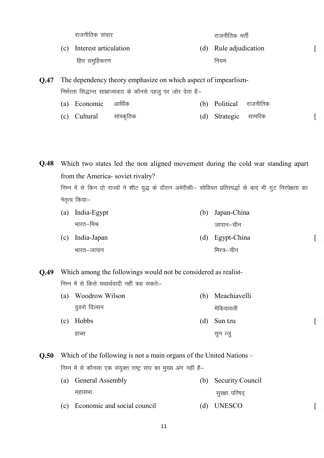jktuhfrd l apkj jktuhfrd HkrhZ

सुन त्जु

 $\lceil$ 

 $\left[ \right]$ 

 $\lceil$ 

(c) Interest articulation हित समुहिकरण (d) Rule adjudication नियम

**Q.47** The dependency theory emphasize on which aspect of impearlism-निर्भरता सिद्धान्त साम्राज्यवाद के कौनसे पहलू पर जोर देता हैं-

- (a) Economic आर्थिक (b) Political राजनीतिक
- (c) Cultural lkaLd `frd (d) Strategic lkefjd [ ]

**Q.48** Which two states led the non aligned movement during the cold war standing apart from the America- soviet rivalry? निम्न में से किन दो राज्यों ने शीट युद्ध के दौरान अमेरीकी– सोवियत प्रतिस्पर्द्धा के बाद भी गुट निरपेक्षता का

नेतृत्व किया—

हाब्स

(a) India-Egypt भारत–मिश्र (b) Japan-China जापान–चीन (c) India-Japan भारत–जापान (d) Egypt-China मिस्त्र $-$ चीन

**Q.49** Which among the followings would not be considered as realist-निम्न में से किसे यथार्थवादी नहीं कह सकते–

> (a) Woodrow Wilson वूडरो विल्सन (b) Meachiavelli मेकियावली (c) Hobbs (d) Sun tzu

**Q.50** Which of the following is not a main organs of the United Nations – निम्न में से कौनसा एक संयुक्त राष्ट्र संघ का मुख्य अंग नहीं हैं-

- (a) General Assembly महासभा (b) Security Council सुरक्षा परिषद
- (c) Economic and social council (d) UNESCO [

11